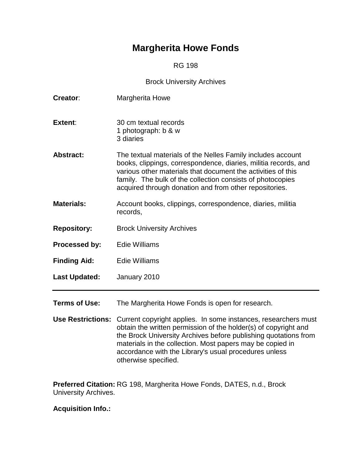# **Margherita Howe Fonds**

RG 198

#### Brock University Archives

| Creator:                 | Margherita Howe                                                                                                                                                                                                                                                                                                        |  |  |
|--------------------------|------------------------------------------------------------------------------------------------------------------------------------------------------------------------------------------------------------------------------------------------------------------------------------------------------------------------|--|--|
| Extent:                  | 30 cm textual records<br>1 photograph: b & w<br>3 diaries                                                                                                                                                                                                                                                              |  |  |
| <b>Abstract:</b>         | The textual materials of the Nelles Family includes account<br>books, clippings, correspondence, diaries, militia records, and<br>various other materials that document the activities of this<br>family. The bulk of the collection consists of photocopies<br>acquired through donation and from other repositories. |  |  |
| <b>Materials:</b>        | Account books, clippings, correspondence, diaries, militia<br>records,                                                                                                                                                                                                                                                 |  |  |
| <b>Repository:</b>       | <b>Brock University Archives</b>                                                                                                                                                                                                                                                                                       |  |  |
| Processed by:            | <b>Edie Williams</b>                                                                                                                                                                                                                                                                                                   |  |  |
| <b>Finding Aid:</b>      | <b>Edie Williams</b>                                                                                                                                                                                                                                                                                                   |  |  |
| <b>Last Updated:</b>     | January 2010                                                                                                                                                                                                                                                                                                           |  |  |
| <b>Terms of Use:</b>     | The Margherita Howe Fonds is open for research.                                                                                                                                                                                                                                                                        |  |  |
| <b>Use Restrictions:</b> | Current copyright applies. In some instances, researchers must<br>obtain the written permission of the holder(s) of copyright and<br>the Brock University Archives before publishing quotations from                                                                                                                   |  |  |

the Brock University Archives before publishing quotations from materials in the collection. Most papers may be copied in accordance with the Library's usual procedures unless otherwise specified.

**Preferred Citation:** RG 198, Margherita Howe Fonds, DATES, n.d., Brock University Archives.

**Acquisition Info.:**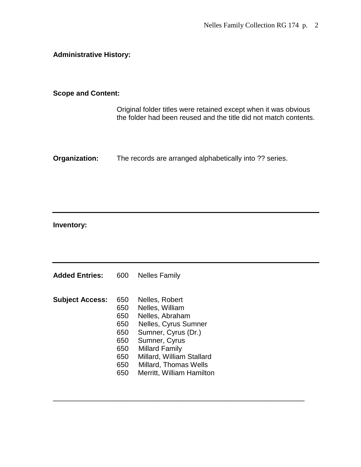### **Administrative History:**

#### **Scope and Content:**

Original folder titles were retained except when it was obvious the folder had been reused and the title did not match contents.

**Organization:** The records are arranged alphabetically into ?? series.

## **Inventory:**

| <b>Added Entries:</b>  | 600 | Nelles Family                |
|------------------------|-----|------------------------------|
|                        |     |                              |
| <b>Subject Access:</b> | 650 | Nelles, Robert               |
|                        | 650 | Nelles, William              |
|                        | 650 | Nelles, Abraham              |
|                        | 650 | Nelles, Cyrus Sumner         |
|                        | 650 | Sumner, Cyrus (Dr.)          |
|                        | 650 | Sumner, Cyrus                |
|                        | 650 | <b>Millard Family</b>        |
|                        | 650 | Millard, William Stallard    |
|                        | 650 | <b>Millard, Thomas Wells</b> |
|                        | 650 | Merritt, William Hamilton    |

\_\_\_\_\_\_\_\_\_\_\_\_\_\_\_\_\_\_\_\_\_\_\_\_\_\_\_\_\_\_\_\_\_\_\_\_\_\_\_\_\_\_\_\_\_\_\_\_\_\_\_\_\_\_\_\_\_\_\_\_\_\_\_\_